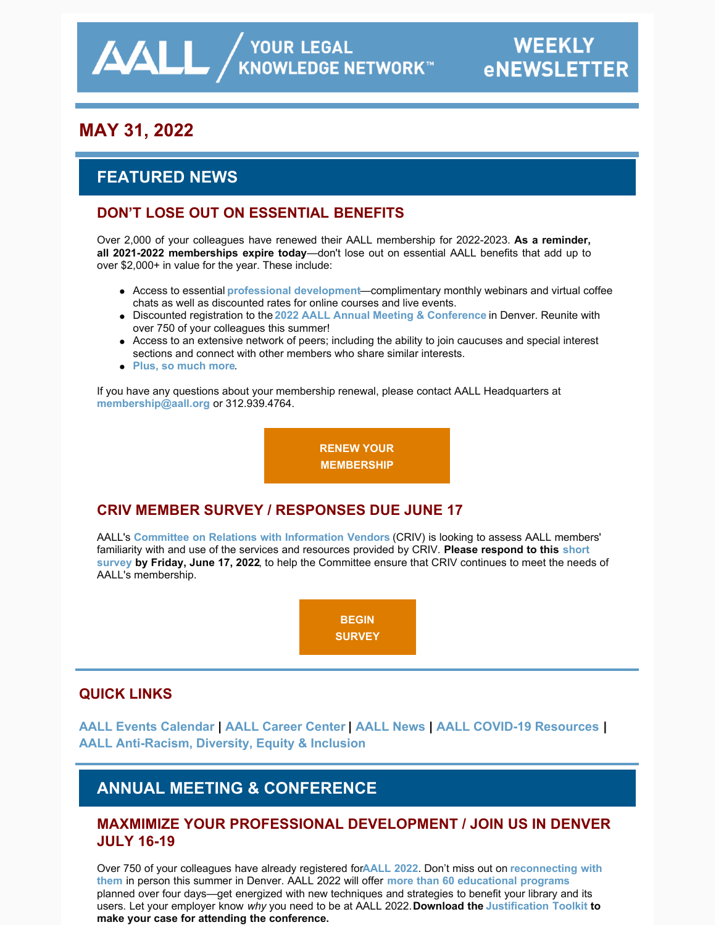# **MAY 31, 2022**

# **FEATURED NEWS**

### **DON'T LOSE OUT ON ESSENTIAL BENEFITS**

Over 2,000 of your colleagues have renewed their AALL membership for 2022-2023. **As a reminder, all 2021-2022 memberships expire today**—don't lose out on essential AALL benefits that add up to over \$2,000+ in value for the year. These include:

- Access to essential **[professional development](https://elearning.aallnet.org/)**—complimentary monthly webinars and virtual coffee chats as well as discounted rates for online courses and live events.
- Discounted registration to the **[2022 AALL Annual Meeting & Conference](https://www.aallnet.org/conference/)** in Denver. Reunite with over 750 of your colleagues this summer!
- Access to an extensive network of peers; including the ability to join caucuses and special interest sections and connect with other members who share similar interests.
- **[Plus, so much more](https://www.aallnet.org/community/membership/benefits/)**.

If you have any questions about your membership renewal, please contact AALL Headquarters at **[membership@aall.org](mailto:membership@aall.org)** or 312.939.4764.

**[RENEW YOUR](https://www.aallnet.org/community/membership/join-renew/)**

**MEMBERSHIP**

### **CRIV MEMBER SURVEY / RESPONSES DUE JUNE 17**

AALL's **[Committee on Relations with Information Vendors](https://www.aallnet.org/about-us/who-we-are/committees-juries/committee-relations-information-vendors-criv/)** (CRIV) is looking to assess AALL members' [familiarity with and use of the services and resources provided by CRIV.](https://iu.co1.qualtrics.com/jfe/form/SV_2lYB9WgAyR3BI6q) **Please respond to this short survey by Friday, June 17, 2022**, to help the Committee ensure that CRIV continues to meet the needs of AALL's membership.



### **QUICK LINKS**

**[AALL Events Calendar](https://www.aallnet.org/forms/MeetingCalendar/) | [AALL Career Center](https://careers.aallnet.org/) | [AALL News](https://www.aallnet.org/about-us/press-room/news/) | [AALL COVID-19 Resources](https://www.aallnet.org/about-us/press-room/coronavirus/) | [AALL Anti-Racism, Diversity, Equity & Inclusion](https://www.aallnet.org/about-us/press-room/anti-racism-diversity-equity-inclusion/)**

# **ANNUAL MEETING & CONFERENCE**

### **MAXMIMIZE YOUR PROFESSIONAL DEVELOPMENT / JOIN US IN DENVER JULY 16-19**

[Over 750 of your colleagues have already registered for](https://eventmobi.com/aall2022/people/ef0c5398-586b-427d-b542-c1aa49688886) **[AALL 2022](https://www.aallnet.org/conference/)**. Don't miss out on **reconnecting with them** in person this summer in Denver. AALL 2022 will offer **[more than 60 educational programs](https://eventmobi.com/aall2022/agenda/a726b21f-5b6b-4478-8355-f5025035fcf1/day/all)** planned over four days—get energized with new techniques and strategies to benefit your library and its users. Let your employer know *why* you need to be at AALL 2022. **Download the [Justification Toolkit](https://www.aallnet.org/conference/wp-content/uploads/sites/18/2022/05/AALL-Annual-Meeting-Justification-Toolkit-FINAL-WEB.pdf) to make your case for attending the conference.**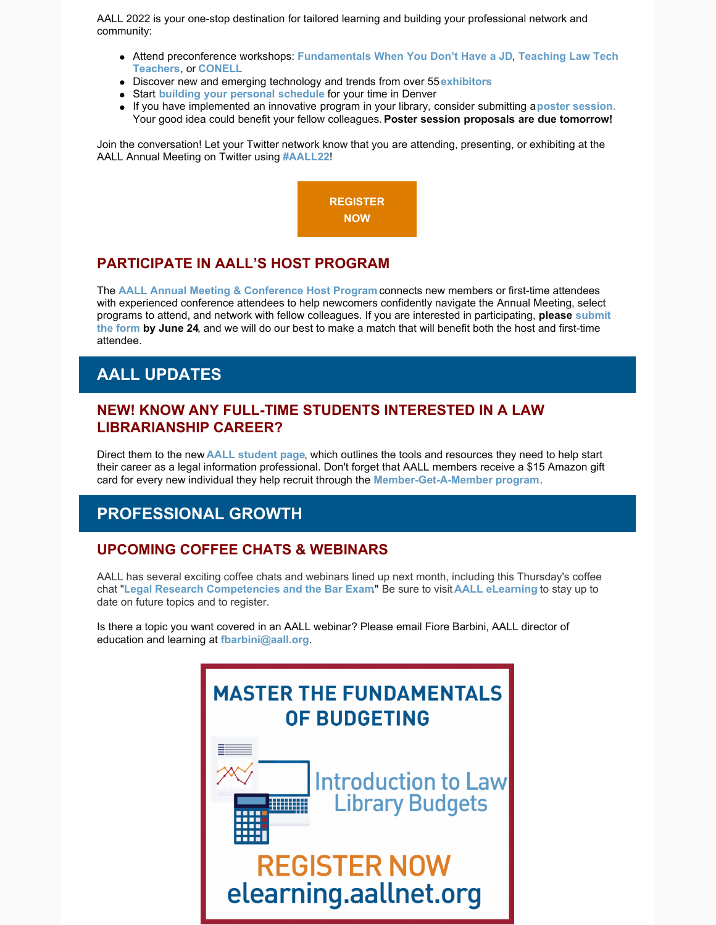AALL 2022 is your one-stop destination for tailored learning and building your professional network and community:

- Attend preconference workshops: **[F](https://eventmobi.com/aall2022/agenda/a726b21f-5b6b-4478-8355-f5025035fcf1/session/7ee0ac44-536a-49ab-8e5f-b65575a8102c)[undamentals When You Don't Have a JD](https://eventmobi.com/aall2022/agenda/a726b21f-5b6b-4478-8355-f5025035fcf1/session/dffcb605-8c70-4fed-97a2-d7a6dc09e469)**, **Teaching Law Tech Teachers**, or **[CONELL](https://eventmobi.com/aall2022/agenda/a726b21f-5b6b-4478-8355-f5025035fcf1/session/09648086-796c-4b3e-b5a1-3fcd5d7936e0)**
- Discover new and emerging technology and trends from over 55 **[exhibitors](https://eventmobi.com/aall2022/companies/05062b8e-7851-4f1a-a344-971a35ae2dd6)**
- Start **[building your personal schedule](https://eventmobi.com/aall2022/)** for your time in Denver
- If you have implemented an innovative program in your library, consider submitting a**[poster session.](https://www.aallnet.org/conference/resources/call-poster-sessions/)** Your good idea could benefit your fellow colleagues. **Poster session proposals are due tomorrow!**

Join the conversation! Let your Twitter network know that you are attending, presenting, or exhibiting at the AALL Annual Meeting on Twitter using **[#AALL22](https://twitter.com/search?q=AALL22&src=typed_query&f=live)**!



### **PARTICIPATE IN AALL'S HOST PROGRAM**

The **[AALL Annual Meeting & Conference Host Program](https://www.aallnet.org/conference/resources/host-program/)** connects new members or first-time attendees with experienced conference attendees to help newcomers confidently navigate the Annual Meeting, select [programs to attend, and network with fellow colleagues. If you are interested in participating,](https://www.aallnet.org/conference/resources/host-program/) **please submit the form by June 24**, and we will do our best to make a match that will benefit both the host and first-time attendee.

### **AALL UPDATES**

#### **NEW! KNOW ANY FULL-TIME STUDENTS INTERESTED IN A LAW LIBRARIANSHIP CAREER?**

Direct them to the new **[AALL student page](https://www.aallnet.org/community/membership/join-renew/students/)**, which outlines the tools and resources they need to help start their career as a legal information professional. Don't forget that AALL members receive a \$15 Amazon gift card for every new individual they help recruit through the **[Member-Get-A-Member program](https://www.aallnet.org/community/membership/mgam/)**.

### **PROFESSIONAL GROWTH**

#### **UPCOMING COFFEE CHATS & WEBINARS**

AALL has several exciting coffee chats and webinars lined up next month, including this Thursday's coffee chat "**[Legal Research Competencies and the Bar Exam](https://elearning.aallnet.org/products/virtual-coffee-chat-legal-research-competencies-and-the-bar-exam)**." Be sure to visit **[AALL eLearning](https://elearning.aallnet.org/live)** to stay up to date on future topics and to register.

Is there a topic you want covered in an AALL webinar? Please email Fiore Barbini, AALL director of education and learning at **[fbarbini@aall.org](mailto:fbarbini@aall.org)**.